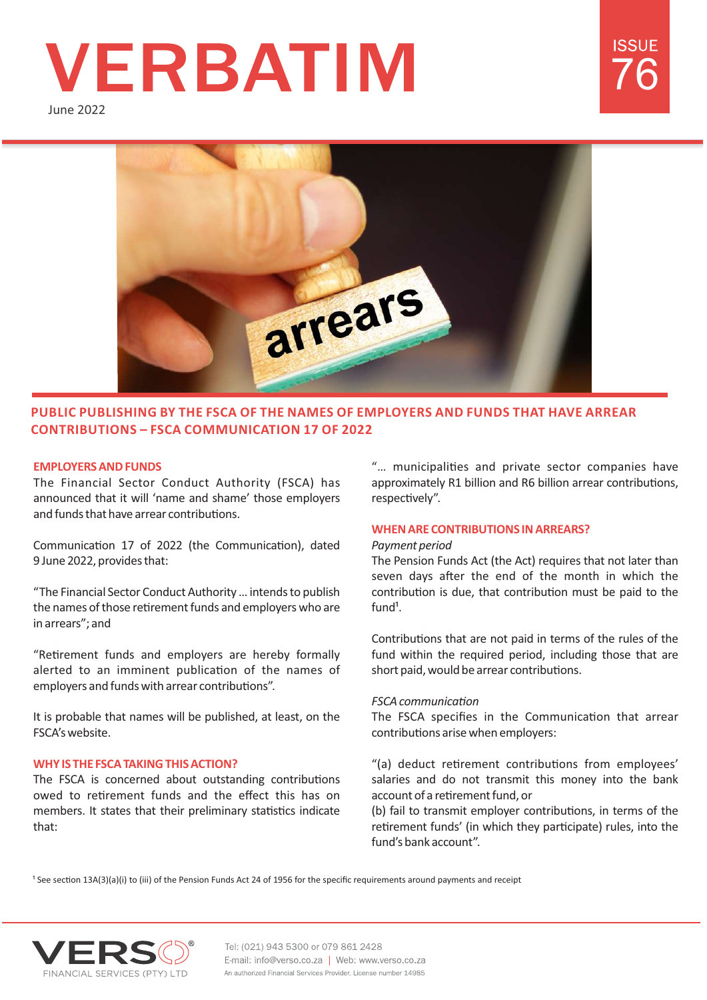# **VERBATIM**

June 2022





# **PUBLIC PUBLISHING BY THE FSCA OF THE NAMES OF EMPLOYERS AND FUNDS THAT HAVE ARREAR CONTRIBUTIONS – FSCA COMMUNICATION 17 OF 2022**

# **EMPLOYERS AND FUNDS**

The Financial Sector Conduct Authority (FSCA) has announced that it will 'name and shame' those employers and funds that have arrear contributions.

Communication 17 of 2022 (the Communication), dated 9 June 2022, provides that:

"The Financial Sector Conduct Authority … intends to publish the names of those retirement funds and employers who are in arrears"; and

"Retirement funds and employers are hereby formally alerted to an imminent publication of the names of employers and funds with arrear contributions".

It is probable that names will be published, at least, on the FSCA's website.

# **WHY IS THE FSCA TAKING THIS ACTION?**

The FSCA is concerned about outstanding contributions owed to retirement funds and the effect this has on members. It states that their preliminary statistics indicate that:

"... municipalities and private sector companies have approximately R1 billion and R6 billion arrear contributions, respectively".

# **WHEN ARE CONTRIBUTIONS IN ARREARS?**

### *Payment period*

The Pension Funds Act (the Act) requires that not later than seven days after the end of the month in which the contribution is due, that contribution must be paid to the  $f$ <sub>und</sub> $1$ .

Contributions that are not paid in terms of the rules of the fund within the required period, including those that are short paid, would be arrear contributions.

### **FSCA** communication

The FSCA specifies in the Communication that arrear contributions arise when employers:

"(a) deduct retirement contributions from employees' salaries and do not transmit this money into the bank account of a retirement fund, or

(b) fail to transmit employer contributions, in terms of the retirement funds' (in which they participate) rules, into the fund's bank account".

<sup>1</sup> See section 13A(3)(a)(i) to (iii) of the Pension Funds Act 24 of 1956 for the specific requirements around payments and receipt



Tel: (021) 943 5300 or 079 861 2428 E-mail: info@verso.co.za | Web: www.verso.co.za An authorized Financial Services Provider. License number 14985